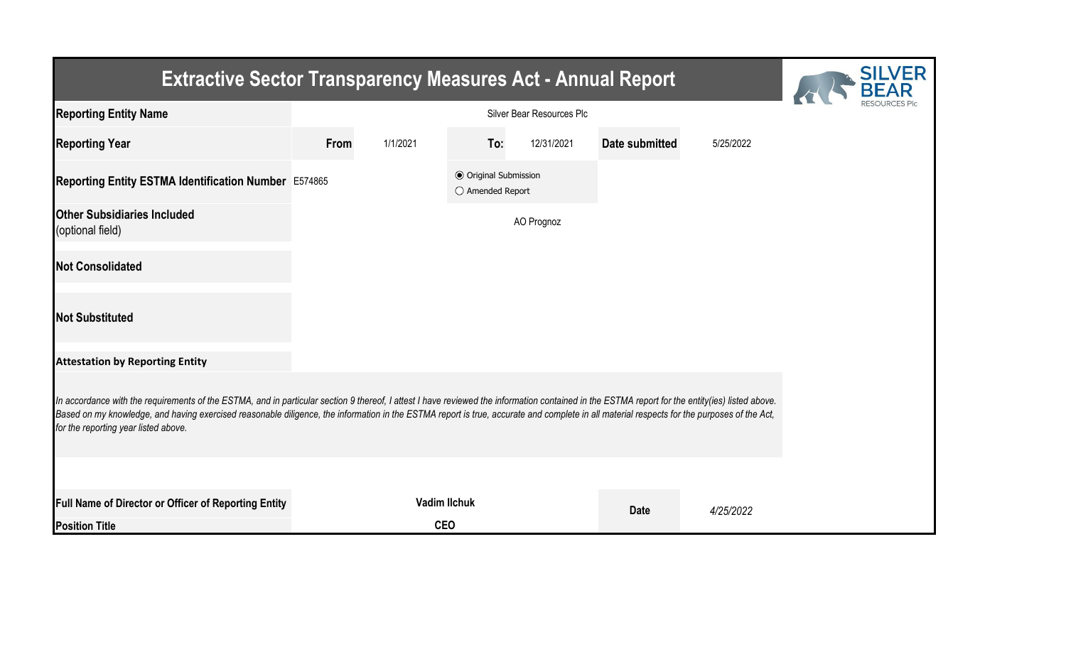| <b>Extractive Sector Transparency Measures Act - Annual Report</b>                                                                                                                                                                                                                                                                                                                                                                    | <b>SILVER</b> |                     |                                                  |            |                       |           |  |
|---------------------------------------------------------------------------------------------------------------------------------------------------------------------------------------------------------------------------------------------------------------------------------------------------------------------------------------------------------------------------------------------------------------------------------------|---------------|---------------------|--------------------------------------------------|------------|-----------------------|-----------|--|
| <b>Reporting Entity Name</b>                                                                                                                                                                                                                                                                                                                                                                                                          |               |                     |                                                  |            |                       |           |  |
| <b>Reporting Year</b>                                                                                                                                                                                                                                                                                                                                                                                                                 | From          | 1/1/2021            | To:                                              | 12/31/2021 | <b>Date submitted</b> | 5/25/2022 |  |
| Reporting Entity ESTMA Identification Number E574865                                                                                                                                                                                                                                                                                                                                                                                  |               |                     | <b>◎</b> Original Submission<br>○ Amended Report |            |                       |           |  |
| <b>Other Subsidiaries Included</b><br>(optional field)                                                                                                                                                                                                                                                                                                                                                                                |               |                     |                                                  | AO Prognoz |                       |           |  |
| <b>Not Consolidated</b>                                                                                                                                                                                                                                                                                                                                                                                                               |               |                     |                                                  |            |                       |           |  |
| <b>Not Substituted</b>                                                                                                                                                                                                                                                                                                                                                                                                                |               |                     |                                                  |            |                       |           |  |
| <b>Attestation by Reporting Entity</b>                                                                                                                                                                                                                                                                                                                                                                                                |               |                     |                                                  |            |                       |           |  |
| In accordance with the requirements of the ESTMA, and in particular section 9 thereof, I attest I have reviewed the information contained in the ESTMA report for the entity(ies) listed above.<br>Based on my knowledge, and having exercised reasonable diligence, the information in the ESTMA report is true, accurate and complete in all material respects for the purposes of the Act,<br>for the reporting year listed above. |               |                     |                                                  |            |                       |           |  |
|                                                                                                                                                                                                                                                                                                                                                                                                                                       |               |                     |                                                  |            |                       |           |  |
| Full Name of Director or Officer of Reporting Entity                                                                                                                                                                                                                                                                                                                                                                                  |               | <b>Vadim llchuk</b> |                                                  |            | <b>Date</b>           | 4/25/2022 |  |
| <b>Position Title</b>                                                                                                                                                                                                                                                                                                                                                                                                                 |               | <b>CEO</b>          |                                                  |            |                       |           |  |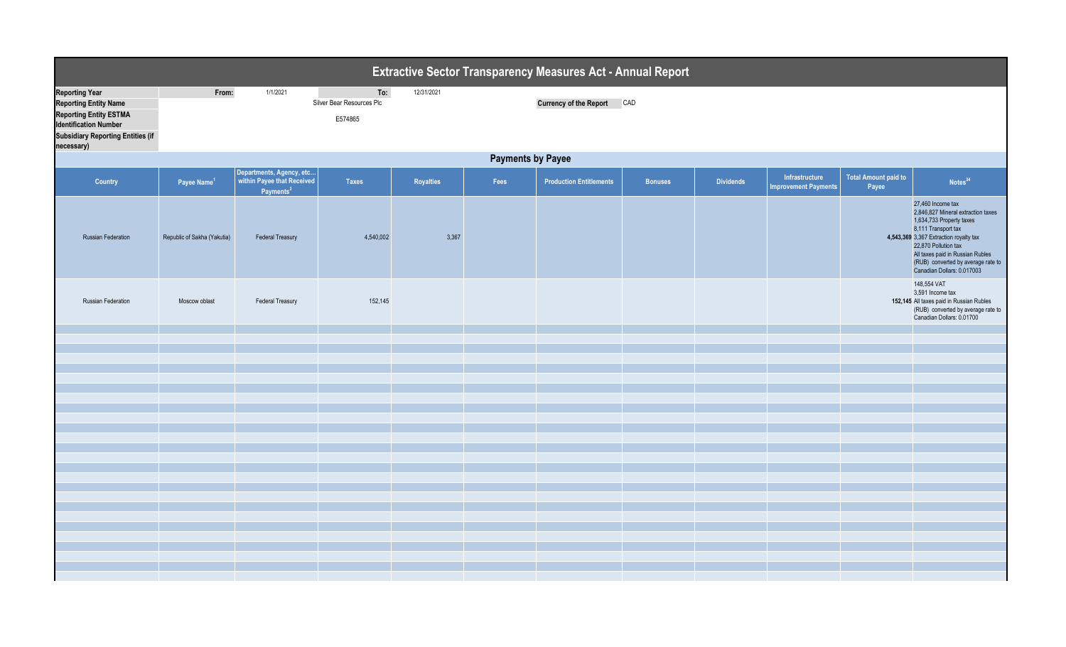| <b>Reporting Year</b><br>From:<br>1/1/2021<br>To:<br>12/31/2021<br>Silver Bear Resources Plc<br><b>Currency of the Report</b><br>CAD<br><b>Reporting Entity Name</b><br><b>Reporting Entity ESTMA</b><br>E574865<br><b>Identification Number</b>                                                                                                            |                                    |
|-------------------------------------------------------------------------------------------------------------------------------------------------------------------------------------------------------------------------------------------------------------------------------------------------------------------------------------------------------------|------------------------------------|
| <b>Subsidiary Reporting Entities (if</b><br>necessary)                                                                                                                                                                                                                                                                                                      |                                    |
| <b>Payments by Payee</b>                                                                                                                                                                                                                                                                                                                                    |                                    |
| Departments, Agency, etc<br><b>Total Amount paid to</b><br>Infrastructure<br>within Payee that Received<br>Fees<br><b>Production Entitlements</b><br><b>Dividends</b><br>Country<br>Payee Name <sup>1</sup><br><b>Taxes</b><br>Royalties<br><b>Bonuses</b><br><b>Improvement Payments</b><br>Payee<br>Payments <sup>2</sup>                                 | Notes <sup>34</sup>                |
| 27,460 Income tax<br>2,846,827 Mineral extraction taxes<br>1,634,733 Property taxes<br>8,111 Transport tax<br>Republic of Sakha (Yakutia)<br><b>Federal Treasury</b><br>4,540,002<br>3,367<br>4,543,369 3,367 Extraction royalty tax<br><b>Russian Federation</b><br>22,870 Pollution tax<br>All taxes paid in Russian Rubles<br>Canadian Dollars: 0.017003 | (RUB) converted by average rate to |
| 148,554 VAT<br>3,591 Income tax<br>152,145<br>152,145 All taxes paid in Russian Rubles<br>Russian Federation<br><b>Federal Treasury</b><br>Moscow oblast<br>Canadian Dollars: 0.01700                                                                                                                                                                       | (RUB) converted by average rate to |
|                                                                                                                                                                                                                                                                                                                                                             |                                    |
|                                                                                                                                                                                                                                                                                                                                                             |                                    |
|                                                                                                                                                                                                                                                                                                                                                             |                                    |
|                                                                                                                                                                                                                                                                                                                                                             |                                    |
|                                                                                                                                                                                                                                                                                                                                                             |                                    |
|                                                                                                                                                                                                                                                                                                                                                             |                                    |
|                                                                                                                                                                                                                                                                                                                                                             |                                    |
|                                                                                                                                                                                                                                                                                                                                                             |                                    |
|                                                                                                                                                                                                                                                                                                                                                             |                                    |
|                                                                                                                                                                                                                                                                                                                                                             |                                    |
|                                                                                                                                                                                                                                                                                                                                                             |                                    |
|                                                                                                                                                                                                                                                                                                                                                             |                                    |
|                                                                                                                                                                                                                                                                                                                                                             |                                    |
|                                                                                                                                                                                                                                                                                                                                                             |                                    |
|                                                                                                                                                                                                                                                                                                                                                             |                                    |
|                                                                                                                                                                                                                                                                                                                                                             |                                    |
|                                                                                                                                                                                                                                                                                                                                                             |                                    |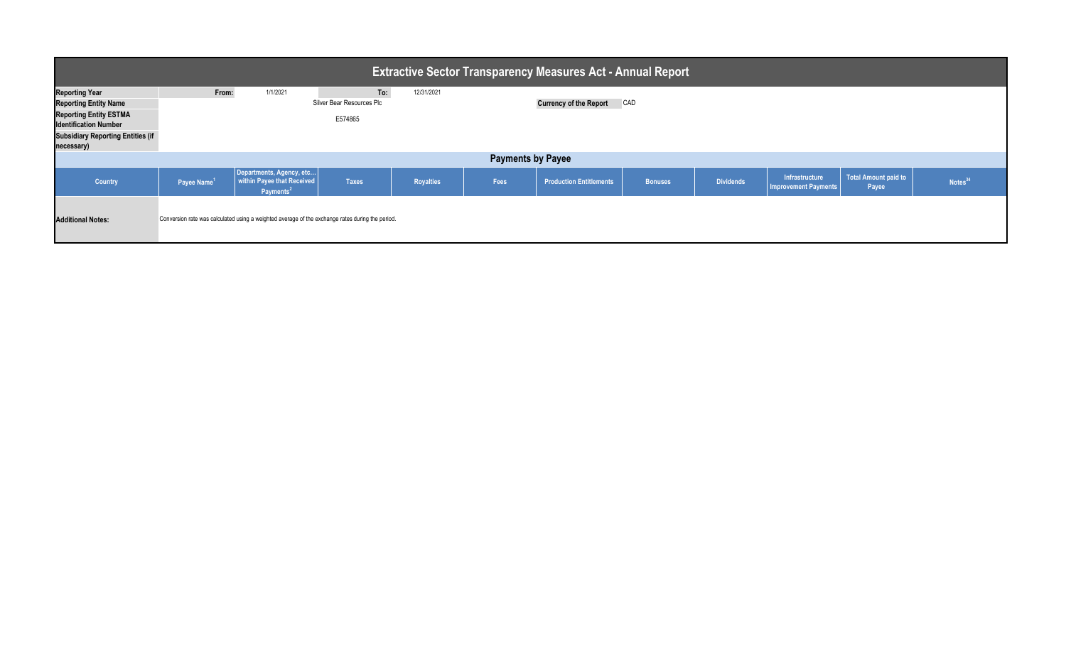| <b>Extractive Sector Transparency Measures Act - Annual Report</b>                                        |                         |                                                                                                  |                                  |                  |      |                                |                |                  |                                               |                               |                     |
|-----------------------------------------------------------------------------------------------------------|-------------------------|--------------------------------------------------------------------------------------------------|----------------------------------|------------------|------|--------------------------------|----------------|------------------|-----------------------------------------------|-------------------------------|---------------------|
| <b>Reporting Year</b><br><b>Reporting Entity Name</b>                                                     | From:                   | 1/1/2021                                                                                         | To:<br>Silver Bear Resources Plc | 12/31/2021       |      | <b>Currency of the Report</b>  | CAD            |                  |                                               |                               |                     |
| <b>Reporting Entity ESTMA</b><br><b>Identification Number</b><br><b>Subsidiary Reporting Entities (if</b> |                         |                                                                                                  | E574865                          |                  |      |                                |                |                  |                                               |                               |                     |
| necessary)<br><b>Payments by Payee</b>                                                                    |                         |                                                                                                  |                                  |                  |      |                                |                |                  |                                               |                               |                     |
|                                                                                                           |                         |                                                                                                  |                                  |                  |      |                                |                |                  |                                               |                               |                     |
| Country                                                                                                   | Payee Name <sup>1</sup> | Departments, Agency, etc<br>within Payee that Received<br>Payments <sup>2</sup>                  | <b>Taxes</b>                     | <b>Royalties</b> | Fees | <b>Production Entitlements</b> | <b>Bonuses</b> | <b>Dividends</b> | Infrastructure<br><b>Improvement Payments</b> | Total Amount paid to<br>Payee | Notes <sup>34</sup> |
| <b>Additional Notes:</b>                                                                                  |                         | Conversion rate was calculated using a weighted average of the exchange rates during the period. |                                  |                  |      |                                |                |                  |                                               |                               |                     |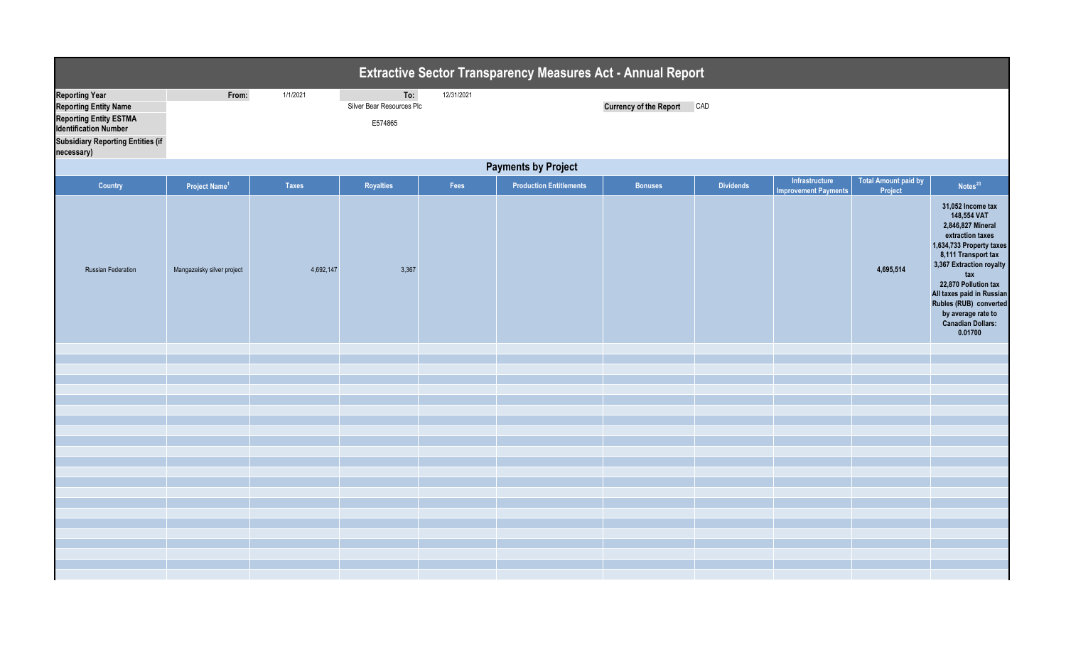|                                                                                                                                                                                  |                            |              |                                             |            | <b>Extractive Sector Transparency Measures Act - Annual Report</b> |                                   |                  |                                               |                                        |                                                                                                                                                                                                                                                                                                             |  |  |
|----------------------------------------------------------------------------------------------------------------------------------------------------------------------------------|----------------------------|--------------|---------------------------------------------|------------|--------------------------------------------------------------------|-----------------------------------|------------------|-----------------------------------------------|----------------------------------------|-------------------------------------------------------------------------------------------------------------------------------------------------------------------------------------------------------------------------------------------------------------------------------------------------------------|--|--|
| <b>Reporting Year</b><br><b>Reporting Entity Name</b><br><b>Reporting Entity ESTMA</b><br><b>Identification Number</b><br><b>Subsidiary Reporting Entities (if</b><br>necessary) | From:                      | 1/1/2021     | To:<br>Silver Bear Resources Plc<br>E574865 | 12/31/2021 |                                                                    | <b>Currency of the Report CAD</b> |                  |                                               |                                        |                                                                                                                                                                                                                                                                                                             |  |  |
|                                                                                                                                                                                  | <b>Payments by Project</b> |              |                                             |            |                                                                    |                                   |                  |                                               |                                        |                                                                                                                                                                                                                                                                                                             |  |  |
| Country                                                                                                                                                                          | Project Name <sup>1</sup>  | <b>Taxes</b> | Royalties                                   | Fees       | <b>Production Entitlements</b>                                     | <b>Bonuses</b>                    | <b>Dividends</b> | Infrastructure<br><b>Improvement Payments</b> | <b>Total Amount paid by</b><br>Project | Notes <sup>23</sup>                                                                                                                                                                                                                                                                                         |  |  |
| <b>Russian Federation</b>                                                                                                                                                        | Mangazeisky silver project | 4,692,147    | 3,367                                       |            |                                                                    |                                   |                  |                                               | 4,695,514                              | 31,052 Income tax<br>148,554 VAT<br>2,846,827 Mineral<br>extraction taxes<br>1,634,733 Property taxes<br>8,111 Transport tax<br>3,367 Extraction royalty<br>tax<br>22,870 Pollution tax<br>All taxes paid in Russian<br>Rubles (RUB) converted<br>by average rate to<br><b>Canadian Dollars:</b><br>0.01700 |  |  |
|                                                                                                                                                                                  |                            |              |                                             |            |                                                                    |                                   |                  |                                               |                                        |                                                                                                                                                                                                                                                                                                             |  |  |
|                                                                                                                                                                                  |                            |              |                                             |            |                                                                    |                                   |                  |                                               |                                        |                                                                                                                                                                                                                                                                                                             |  |  |
|                                                                                                                                                                                  |                            |              |                                             |            |                                                                    |                                   |                  |                                               |                                        |                                                                                                                                                                                                                                                                                                             |  |  |
|                                                                                                                                                                                  |                            |              |                                             |            |                                                                    |                                   |                  |                                               |                                        |                                                                                                                                                                                                                                                                                                             |  |  |
|                                                                                                                                                                                  |                            |              |                                             |            |                                                                    |                                   |                  |                                               |                                        |                                                                                                                                                                                                                                                                                                             |  |  |
|                                                                                                                                                                                  |                            |              |                                             |            |                                                                    |                                   |                  |                                               |                                        |                                                                                                                                                                                                                                                                                                             |  |  |
|                                                                                                                                                                                  |                            |              |                                             |            |                                                                    |                                   |                  |                                               |                                        |                                                                                                                                                                                                                                                                                                             |  |  |
|                                                                                                                                                                                  |                            |              |                                             |            |                                                                    |                                   |                  |                                               |                                        |                                                                                                                                                                                                                                                                                                             |  |  |
|                                                                                                                                                                                  |                            |              |                                             |            |                                                                    |                                   |                  |                                               |                                        |                                                                                                                                                                                                                                                                                                             |  |  |
|                                                                                                                                                                                  |                            |              |                                             |            |                                                                    |                                   |                  |                                               |                                        |                                                                                                                                                                                                                                                                                                             |  |  |
|                                                                                                                                                                                  |                            |              |                                             |            |                                                                    |                                   |                  |                                               |                                        |                                                                                                                                                                                                                                                                                                             |  |  |
|                                                                                                                                                                                  |                            |              |                                             |            |                                                                    |                                   |                  |                                               |                                        |                                                                                                                                                                                                                                                                                                             |  |  |
|                                                                                                                                                                                  |                            |              |                                             |            |                                                                    |                                   |                  |                                               |                                        |                                                                                                                                                                                                                                                                                                             |  |  |